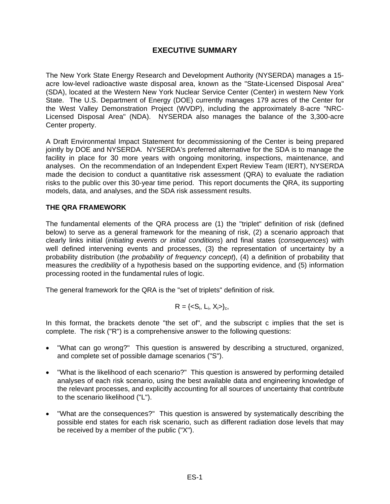# **EXECUTIVE SUMMARY**

The New York State Energy Research and Development Authority (NYSERDA) manages a 15 acre low-level radioactive waste disposal area, known as the "State-Licensed Disposal Area" (SDA), located at the Western New York Nuclear Service Center (Center) in western New York State. The U.S. Department of Energy (DOE) currently manages 179 acres of the Center for the West Valley Demonstration Project (WVDP), including the approximately 8-acre "NRC-Licensed Disposal Area" (NDA). NYSERDA also manages the balance of the 3,300-acre Center property.

A Draft Environmental Impact Statement for decommissioning of the Center is being prepared jointly by DOE and NYSERDA. NYSERDA's preferred alternative for the SDA is to manage the facility in place for 30 more years with ongoing monitoring, inspections, maintenance, and analyses. On the recommendation of an Independent Expert Review Team (IERT), NYSERDA made the decision to conduct a quantitative risk assessment (QRA) to evaluate the radiation risks to the public over this 30-year time period. This report documents the QRA, its supporting models, data, and analyses, and the SDA risk assessment results.

## **THE QRA FRAMEWORK**

The fundamental elements of the QRA process are (1) the "triplet" definition of risk (defined below) to serve as a general framework for the meaning of risk, (2) a scenario approach that clearly links initial (*initiating events or initial conditions*) and final states (*consequences*) with well defined intervening events and processes, (3) the representation of uncertainty by a probability distribution (*the probability of frequency concept*), (4) a definition of probability that measures the *credibility* of a hypothesis based on the supporting evidence, and (5) information processing rooted in the fundamental rules of logic.

The general framework for the QRA is the "set of triplets" definition of risk.

$$
R = \{  \}_c,
$$

In this format, the brackets denote "the set of", and the subscript c implies that the set is complete. The risk ("R") is a comprehensive answer to the following questions:

- "What can go wrong?" This question is answered by describing a structured, organized, and complete set of possible damage scenarios ("S").
- "What is the likelihood of each scenario?" This question is answered by performing detailed analyses of each risk scenario, using the best available data and engineering knowledge of the relevant processes, and explicitly accounting for all sources of uncertainty that contribute to the scenario likelihood ("L").
- "What are the consequences?" This question is answered by systematically describing the possible end states for each risk scenario, such as different radiation dose levels that may be received by a member of the public ("X").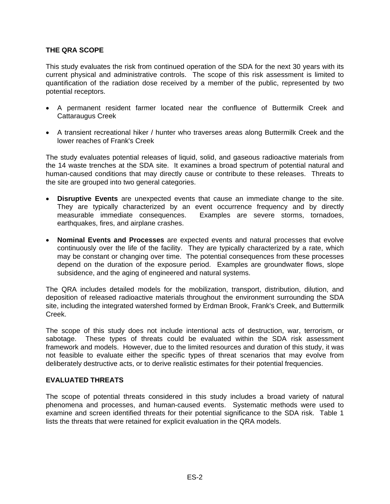### **THE QRA SCOPE**

This study evaluates the risk from continued operation of the SDA for the next 30 years with its current physical and administrative controls. The scope of this risk assessment is limited to quantification of the radiation dose received by a member of the public, represented by two potential receptors.

- A permanent resident farmer located near the confluence of Buttermilk Creek and Cattaraugus Creek
- A transient recreational hiker / hunter who traverses areas along Buttermilk Creek and the lower reaches of Frank's Creek

The study evaluates potential releases of liquid, solid, and gaseous radioactive materials from the 14 waste trenches at the SDA site. It examines a broad spectrum of potential natural and human-caused conditions that may directly cause or contribute to these releases. Threats to the site are grouped into two general categories.

- **Disruptive Events** are unexpected events that cause an immediate change to the site. They are typically characterized by an event occurrence frequency and by directly measurable immediate consequences. Examples are severe storms, tornadoes, earthquakes, fires, and airplane crashes.
- **Nominal Events and Processes** are expected events and natural processes that evolve continuously over the life of the facility. They are typically characterized by a rate, which may be constant or changing over time. The potential consequences from these processes depend on the duration of the exposure period. Examples are groundwater flows, slope subsidence, and the aging of engineered and natural systems.

The QRA includes detailed models for the mobilization, transport, distribution, dilution, and deposition of released radioactive materials throughout the environment surrounding the SDA site, including the integrated watershed formed by Erdman Brook, Frank's Creek, and Buttermilk Creek.

The scope of this study does not include intentional acts of destruction, war, terrorism, or sabotage. These types of threats could be evaluated within the SDA risk assessment framework and models. However, due to the limited resources and duration of this study, it was not feasible to evaluate either the specific types of threat scenarios that may evolve from deliberately destructive acts, or to derive realistic estimates for their potential frequencies.

### **EVALUATED THREATS**

The scope of potential threats considered in this study includes a broad variety of natural phenomena and processes, and human-caused events. Systematic methods were used to examine and screen identified threats for their potential significance to the SDA risk. Table 1 lists the threats that were retained for explicit evaluation in the QRA models.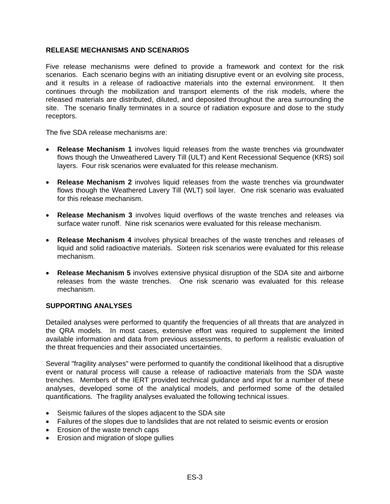#### **RELEASE MECHANISMS AND SCENARIOS**

Five release mechanisms were defined to provide a framework and context for the risk scenarios. Each scenario begins with an initiating disruptive event or an evolving site process, and it results in a release of radioactive materials into the external environment. It then continues through the mobilization and transport elements of the risk models, where the released materials are distributed, diluted, and deposited throughout the area surrounding the site. The scenario finally terminates in a source of radiation exposure and dose to the study receptors.

The five SDA release mechanisms are:

- **Release Mechanism 1** involves liquid releases from the waste trenches via groundwater flows though the Unweathered Lavery Till (ULT) and Kent Recessional Sequence (KRS) soil layers. Four risk scenarios were evaluated for this release mechanism.
- **Release Mechanism 2** involves liquid releases from the waste trenches via groundwater flows though the Weathered Lavery Till (WLT) soil layer. One risk scenario was evaluated for this release mechanism.
- **Release Mechanism 3** involves liquid overflows of the waste trenches and releases via surface water runoff. Nine risk scenarios were evaluated for this release mechanism.
- **Release Mechanism 4** involves physical breaches of the waste trenches and releases of liquid and solid radioactive materials. Sixteen risk scenarios were evaluated for this release mechanism.
- **Release Mechanism 5** involves extensive physical disruption of the SDA site and airborne releases from the waste trenches. One risk scenario was evaluated for this release mechanism.

#### **SUPPORTING ANALYSES**

Detailed analyses were performed to quantify the frequencies of all threats that are analyzed in the QRA models. In most cases, extensive effort was required to supplement the limited available information and data from previous assessments, to perform a realistic evaluation of the threat frequencies and their associated uncertainties.

Several "fragility analyses" were performed to quantify the conditional likelihood that a disruptive event or natural process will cause a release of radioactive materials from the SDA waste trenches. Members of the IERT provided technical guidance and input for a number of these analyses, developed some of the analytical models, and performed some of the detailed quantifications. The fragility analyses evaluated the following technical issues.

- Seismic failures of the slopes adjacent to the SDA site
- Failures of the slopes due to landslides that are not related to seismic events or erosion
- Erosion of the waste trench caps
- Erosion and migration of slope gullies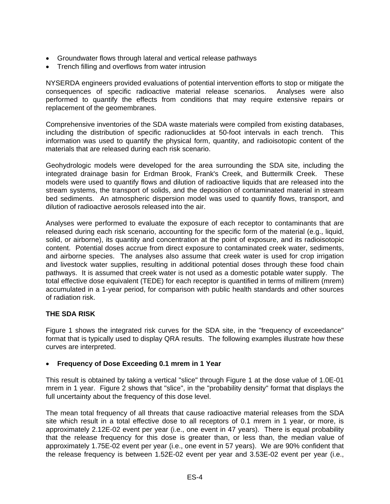- Groundwater flows through lateral and vertical release pathways
- Trench filling and overflows from water intrusion

NYSERDA engineers provided evaluations of potential intervention efforts to stop or mitigate the consequences of specific radioactive material release scenarios. Analyses were also performed to quantify the effects from conditions that may require extensive repairs or replacement of the geomembranes.

Comprehensive inventories of the SDA waste materials were compiled from existing databases, including the distribution of specific radionuclides at 50-foot intervals in each trench. This information was used to quantify the physical form, quantity, and radioisotopic content of the materials that are released during each risk scenario.

Geohydrologic models were developed for the area surrounding the SDA site, including the integrated drainage basin for Erdman Brook, Frank's Creek, and Buttermilk Creek. These models were used to quantify flows and dilution of radioactive liquids that are released into the stream systems, the transport of solids, and the deposition of contaminated material in stream bed sediments. An atmospheric dispersion model was used to quantify flows, transport, and dilution of radioactive aerosols released into the air.

Analyses were performed to evaluate the exposure of each receptor to contaminants that are released during each risk scenario, accounting for the specific form of the material (e.g., liquid, solid, or airborne), its quantity and concentration at the point of exposure, and its radioisotopic content. Potential doses accrue from direct exposure to contaminated creek water, sediments, and airborne species. The analyses also assume that creek water is used for crop irrigation and livestock water supplies, resulting in additional potential doses through these food chain pathways. It is assumed that creek water is not used as a domestic potable water supply. The total effective dose equivalent (TEDE) for each receptor is quantified in terms of millirem (mrem) accumulated in a 1-year period, for comparison with public health standards and other sources of radiation risk.

# **THE SDA RISK**

Figure 1 shows the integrated risk curves for the SDA site, in the "frequency of exceedance" format that is typically used to display QRA results. The following examples illustrate how these curves are interpreted.

### • **Frequency of Dose Exceeding 0.1 mrem in 1 Year**

This result is obtained by taking a vertical "slice" through Figure 1 at the dose value of 1.0E-01 mrem in 1 year. Figure 2 shows that "slice", in the "probability density" format that displays the full uncertainty about the frequency of this dose level.

The mean total frequency of all threats that cause radioactive material releases from the SDA site which result in a total effective dose to all receptors of 0.1 mrem in 1 year, or more, is approximately 2.12E-02 event per year (i.e., one event in 47 years). There is equal probability that the release frequency for this dose is greater than, or less than, the median value of approximately 1.75E-02 event per year (i.e., one event in 57 years). We are 90% confident that the release frequency is between 1.52E-02 event per year and 3.53E-02 event per year (i.e.,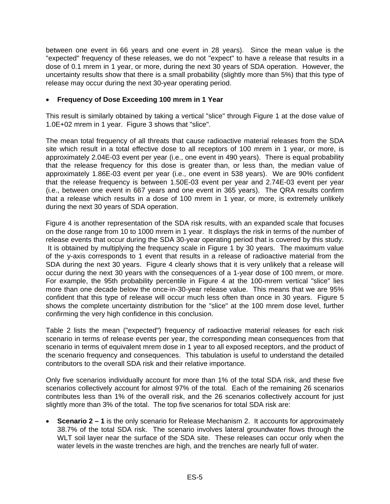between one event in 66 years and one event in 28 years). Since the mean value is the "expected" frequency of these releases, we do not "expect" to have a release that results in a dose of 0.1 mrem in 1 year, or more, during the next 30 years of SDA operation. However, the uncertainty results show that there is a small probability (slightly more than 5%) that this type of release may occur during the next 30-year operating period.

## • **Frequency of Dose Exceeding 100 mrem in 1 Year**

This result is similarly obtained by taking a vertical "slice" through Figure 1 at the dose value of 1.0E+02 mrem in 1 year. Figure 3 shows that "slice".

The mean total frequency of all threats that cause radioactive material releases from the SDA site which result in a total effective dose to all receptors of 100 mrem in 1 year, or more, is approximately 2.04E-03 event per year (i.e., one event in 490 years). There is equal probability that the release frequency for this dose is greater than, or less than, the median value of approximately 1.86E-03 event per year (i.e., one event in 538 years). We are 90% confident that the release frequency is between 1.50E-03 event per year and 2.74E-03 event per year (i.e., between one event in 667 years and one event in 365 years). The QRA results confirm that a release which results in a dose of 100 mrem in 1 year, or more, is extremely unlikely during the next 30 years of SDA operation.

Figure 4 is another representation of the SDA risk results, with an expanded scale that focuses on the dose range from 10 to 1000 mrem in 1 year. It displays the risk in terms of the number of release events that occur during the SDA 30-year operating period that is covered by this study. It is obtained by multiplying the frequency scale in Figure 1 by 30 years. The maximum value of the y-axis corresponds to 1 event that results in a release of radioactive material from the SDA during the next 30 years. Figure 4 clearly shows that it is very unlikely that a release will occur during the next 30 years with the consequences of a 1-year dose of 100 mrem, or more. For example, the 95th probability percentile in Figure 4 at the 100-mrem vertical "slice" lies more than one decade below the once-in-30-year release value. This means that we are 95% confident that this type of release will occur much less often than once in 30 years. Figure 5 shows the complete uncertainty distribution for the "slice" at the 100 mrem dose level, further confirming the very high confidence in this conclusion.

Table 2 lists the mean ("expected") frequency of radioactive material releases for each risk scenario in terms of release events per year, the corresponding mean consequences from that scenario in terms of equivalent mrem dose in 1 year to all exposed receptors, and the product of the scenario frequency and consequences. This tabulation is useful to understand the detailed contributors to the overall SDA risk and their relative importance.

Only five scenarios individually account for more than 1% of the total SDA risk, and these five scenarios collectively account for almost 97% of the total. Each of the remaining 26 scenarios contributes less than 1% of the overall risk, and the 26 scenarios collectively account for just slightly more than 3% of the total. The top five scenarios for total SDA risk are:

• **Scenario 2 – 1** is the only scenario for Release Mechanism 2. It accounts for approximately 38.7% of the total SDA risk. The scenario involves lateral groundwater flows through the WLT soil layer near the surface of the SDA site. These releases can occur only when the water levels in the waste trenches are high, and the trenches are nearly full of water.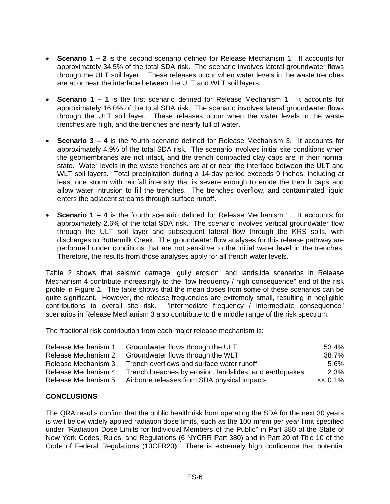- **Scenario 1 2** is the second scenario defined for Release Mechanism 1. It accounts for approximately 34.5% of the total SDA risk. The scenario involves lateral groundwater flows through the ULT soil layer. These releases occur when water levels in the waste trenches are at or near the interface between the ULT and WLT soil layers.
- **Scenario 1 1** is the first scenario defined for Release Mechanism 1. It accounts for approximately 16.0% of the total SDA risk. The scenario involves lateral groundwater flows through the ULT soil layer. These releases occur when the water levels in the waste trenches are high, and the trenches are nearly full of water.
- **Scenario 3 4** is the fourth scenario defined for Release Mechanism 3. It accounts for approximately 4.9% of the total SDA risk. The scenario involves initial site conditions when the geomembranes are not intact, and the trench compacted clay caps are in their normal state. Water levels in the waste trenches are at or near the interface between the ULT and WLT soil layers. Total precipitation during a 14-day period exceeds 9 inches, including at least one storm with rainfall intensity that is severe enough to erode the trench caps and allow water intrusion to fill the trenches. The trenches overflow, and contaminated liquid enters the adjacent streams through surface runoff.
- **Scenario 1 4** is the fourth scenario defined for Release Mechanism 1. It accounts for approximately 2.6% of the total SDA risk. The scenario involves vertical groundwater flow through the ULT soil layer and subsequent lateral flow through the KRS soils, with discharges to Buttermilk Creek. The groundwater flow analyses for this release pathway are performed under conditions that are not sensitive to the initial water level in the trenches. Therefore, the results from those analyses apply for all trench water levels.

Table 2 shows that seismic damage, gully erosion, and landslide scenarios in Release Mechanism 4 contribute increasingly to the "low frequency / high consequence" end of the risk profile in Figure 1. The table shows that the mean doses from some of these scenarios can be quite significant. However, the release frequencies are extremely small, resulting in negligible contributions to overall site risk. "Intermediate frequency / intermediate consequence" scenarios in Release Mechanism 3 also contribute to the middle range of the risk spectrum.

The fractional risk contribution from each major release mechanism is:

|                      | Release Mechanism 1: Groundwater flows through the ULT           | 53.4%      |
|----------------------|------------------------------------------------------------------|------------|
| Release Mechanism 2: | Groundwater flows through the WLT                                | 38.7%      |
| Release Mechanism 3: | Trench overflows and surface water runoff                        | $5.6\%$    |
| Release Mechanism 4: | Trench breaches by erosion, landslides, and earthquakes          | 2.3%       |
|                      | Release Mechanism 5: Airborne releases from SDA physical impacts | $<< 0.1\%$ |

### **CONCLUSIONS**

The QRA results confirm that the public health risk from operating the SDA for the next 30 years is well below widely applied radiation dose limits, such as the 100 mrem per year limit specified under "Radiation Dose Limits for Individual Members of the Public" in Part 380 of the State of New York Codes, Rules, and Regulations (6 NYCRR Part 380) and in Part 20 of Title 10 of the Code of Federal Regulations (10CFR20). There is extremely high confidence that potential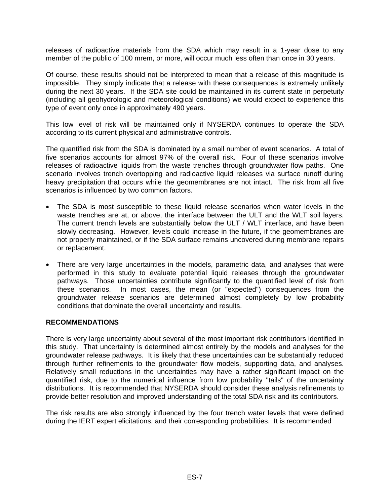releases of radioactive materials from the SDA which may result in a 1-year dose to any member of the public of 100 mrem, or more, will occur much less often than once in 30 years.

Of course, these results should not be interpreted to mean that a release of this magnitude is impossible. They simply indicate that a release with these consequences is extremely unlikely during the next 30 years. If the SDA site could be maintained in its current state in perpetuity (including all geohydrologic and meteorological conditions) we would expect to experience this type of event only once in approximately 490 years.

This low level of risk will be maintained only if NYSERDA continues to operate the SDA according to its current physical and administrative controls.

The quantified risk from the SDA is dominated by a small number of event scenarios. A total of five scenarios accounts for almost 97% of the overall risk. Four of these scenarios involve releases of radioactive liquids from the waste trenches through groundwater flow paths. One scenario involves trench overtopping and radioactive liquid releases via surface runoff during heavy precipitation that occurs while the geomembranes are not intact. The risk from all five scenarios is influenced by two common factors.

- The SDA is most susceptible to these liquid release scenarios when water levels in the waste trenches are at, or above, the interface between the ULT and the WLT soil layers. The current trench levels are substantially below the ULT / WLT interface, and have been slowly decreasing. However, levels could increase in the future, if the geomembranes are not properly maintained, or if the SDA surface remains uncovered during membrane repairs or replacement.
- There are very large uncertainties in the models, parametric data, and analyses that were performed in this study to evaluate potential liquid releases through the groundwater pathways. Those uncertainties contribute significantly to the quantified level of risk from these scenarios. In most cases, the mean (or "expected") consequences from the groundwater release scenarios are determined almost completely by low probability conditions that dominate the overall uncertainty and results.

### **RECOMMENDATIONS**

There is very large uncertainty about several of the most important risk contributors identified in this study. That uncertainty is determined almost entirely by the models and analyses for the groundwater release pathways. It is likely that these uncertainties can be substantially reduced through further refinements to the groundwater flow models, supporting data, and analyses. Relatively small reductions in the uncertainties may have a rather significant impact on the quantified risk, due to the numerical influence from low probability "tails" of the uncertainty distributions. It is recommended that NYSERDA should consider these analysis refinements to provide better resolution and improved understanding of the total SDA risk and its contributors.

The risk results are also strongly influenced by the four trench water levels that were defined during the IERT expert elicitations, and their corresponding probabilities. It is recommended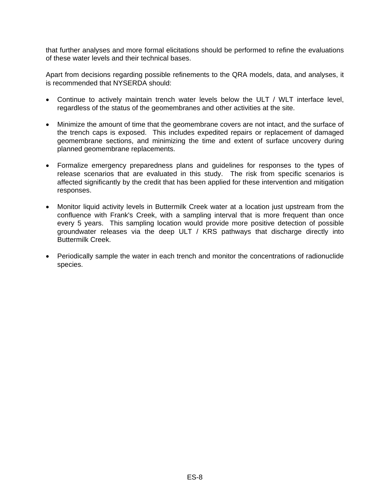that further analyses and more formal elicitations should be performed to refine the evaluations of these water levels and their technical bases.

Apart from decisions regarding possible refinements to the QRA models, data, and analyses, it is recommended that NYSERDA should:

- Continue to actively maintain trench water levels below the ULT / WLT interface level, regardless of the status of the geomembranes and other activities at the site.
- Minimize the amount of time that the geomembrane covers are not intact, and the surface of the trench caps is exposed. This includes expedited repairs or replacement of damaged geomembrane sections, and minimizing the time and extent of surface uncovery during planned geomembrane replacements.
- Formalize emergency preparedness plans and guidelines for responses to the types of release scenarios that are evaluated in this study. The risk from specific scenarios is affected significantly by the credit that has been applied for these intervention and mitigation responses.
- Monitor liquid activity levels in Buttermilk Creek water at a location just upstream from the confluence with Frank's Creek, with a sampling interval that is more frequent than once every 5 years. This sampling location would provide more positive detection of possible groundwater releases via the deep ULT / KRS pathways that discharge directly into Buttermilk Creek.
- Periodically sample the water in each trench and monitor the concentrations of radionuclide species.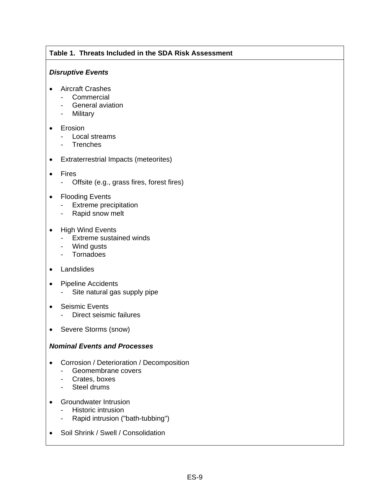# **Table 1. Threats Included in the SDA Risk Assessment**

#### *Disruptive Events*

- Aircraft Crashes
	- Commercial
	- General aviation
	- Military
- Erosion
	- Local streams
	- Trenches
- Extraterrestrial Impacts (meteorites)
- Fires
	- Offsite (e.g., grass fires, forest fires)
- Flooding Events
	- Extreme precipitation
	- Rapid snow melt
- High Wind Events
	- Extreme sustained winds
	- Wind gusts
	- Tornadoes
- Landslides
- Pipeline Accidents
	- Site natural gas supply pipe
- Seismic Events
	- Direct seismic failures
- Severe Storms (snow)

### *Nominal Events and Processes*

- Corrosion / Deterioration / Decomposition
	- Geomembrane covers
	- Crates, boxes
	- Steel drums
- Groundwater Intrusion
	- Historic intrusion
	- Rapid intrusion ("bath-tubbing")
- Soil Shrink / Swell / Consolidation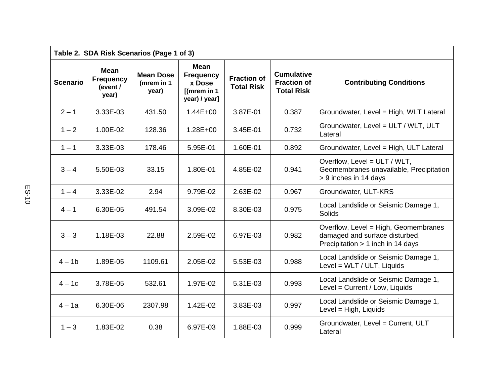| Table 2. SDA Risk Scenarios (Page 1 of 3) |                                               |                                         |                                                                              |                                         |                                                              |                                                                                                             |  |
|-------------------------------------------|-----------------------------------------------|-----------------------------------------|------------------------------------------------------------------------------|-----------------------------------------|--------------------------------------------------------------|-------------------------------------------------------------------------------------------------------------|--|
| <b>Scenario</b>                           | Mean<br><b>Frequency</b><br>(event /<br>year) | <b>Mean Dose</b><br>(mrem in 1<br>year) | <b>Mean</b><br><b>Frequency</b><br>x Dose<br>$[$ (mrem in 1<br>year) / year] | <b>Fraction of</b><br><b>Total Risk</b> | <b>Cumulative</b><br><b>Fraction of</b><br><b>Total Risk</b> | <b>Contributing Conditions</b>                                                                              |  |
| $2 - 1$                                   | 3.33E-03                                      | 431.50                                  | $1.44E + 00$                                                                 | 3.87E-01                                | 0.387                                                        | Groundwater, Level = High, WLT Lateral                                                                      |  |
| $1 - 2$                                   | 1.00E-02                                      | 128.36                                  | $1.28E + 00$                                                                 | 3.45E-01                                | 0.732                                                        | Groundwater, Level = ULT / WLT, ULT<br>Lateral                                                              |  |
| $1 - 1$                                   | 3.33E-03                                      | 178.46                                  | 5.95E-01                                                                     | 1.60E-01                                | 0.892                                                        | Groundwater, Level = High, ULT Lateral                                                                      |  |
| $3 - 4$                                   | 5.50E-03                                      | 33.15                                   | 1.80E-01                                                                     | 4.85E-02                                | 0.941                                                        | Overflow, Level = ULT / WLT,<br>Geomembranes unavailable, Precipitation<br>> 9 inches in 14 days            |  |
| $1 - 4$                                   | 3.33E-02                                      | 2.94                                    | 9.79E-02                                                                     | 2.63E-02                                | 0.967                                                        | Groundwater, ULT-KRS                                                                                        |  |
| $4 - 1$                                   | 6.30E-05                                      | 491.54                                  | 3.09E-02                                                                     | 8.30E-03                                | 0.975                                                        | Local Landslide or Seismic Damage 1,<br>Solids                                                              |  |
| $3 - 3$                                   | 1.18E-03                                      | 22.88                                   | 2.59E-02                                                                     | 6.97E-03                                | 0.982                                                        | Overflow, Level = High, Geomembranes<br>damaged and surface disturbed,<br>Precipitation > 1 inch in 14 days |  |
| $4 - 1b$                                  | 1.89E-05                                      | 1109.61                                 | 2.05E-02                                                                     | 5.53E-03                                | 0.988                                                        | Local Landslide or Seismic Damage 1,<br>Level = WLT / ULT, Liquids                                          |  |
| $4-1c$                                    | 3.78E-05                                      | 532.61                                  | 1.97E-02                                                                     | 5.31E-03                                | 0.993                                                        | Local Landslide or Seismic Damage 1,<br>Level = Current / Low, Liquids                                      |  |
| $4 - 1a$                                  | 6.30E-06                                      | 2307.98                                 | 1.42E-02                                                                     | 3.83E-03                                | 0.997                                                        | Local Landslide or Seismic Damage 1,<br>Level = High, Liquids                                               |  |
| $1 - 3$                                   | 1.83E-02                                      | 0.38                                    | 6.97E-03                                                                     | 1.88E-03                                | 0.999                                                        | Groundwater, Level = Current, ULT<br>Lateral                                                                |  |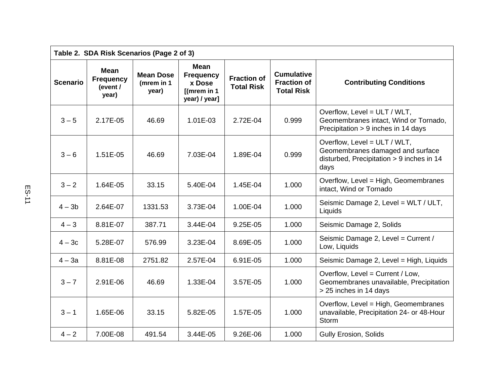| Table 2. SDA Risk Scenarios (Page 2 of 3) |                                               |                                         |                                                                              |                                         |                                                              |                                                                                                                       |  |
|-------------------------------------------|-----------------------------------------------|-----------------------------------------|------------------------------------------------------------------------------|-----------------------------------------|--------------------------------------------------------------|-----------------------------------------------------------------------------------------------------------------------|--|
| <b>Scenario</b>                           | Mean<br><b>Frequency</b><br>(event /<br>year) | <b>Mean Dose</b><br>(mrem in 1<br>year) | <b>Mean</b><br><b>Frequency</b><br>x Dose<br>$[$ (mrem in 1<br>year) / year] | <b>Fraction of</b><br><b>Total Risk</b> | <b>Cumulative</b><br><b>Fraction of</b><br><b>Total Risk</b> | <b>Contributing Conditions</b>                                                                                        |  |
| $3 - 5$                                   | 2.17E-05                                      | 46.69                                   | 1.01E-03                                                                     | 2.72E-04                                | 0.999                                                        | Overflow, Level = ULT / WLT,<br>Geomembranes intact, Wind or Tornado,<br>Precipitation > 9 inches in 14 days          |  |
| $3 - 6$                                   | 1.51E-05                                      | 46.69                                   | 7.03E-04                                                                     | 1.89E-04                                | 0.999                                                        | Overflow, Level = ULT / WLT,<br>Geomembranes damaged and surface<br>disturbed, Precipitation > 9 inches in 14<br>days |  |
| $3 - 2$                                   | 1.64E-05                                      | 33.15                                   | 5.40E-04                                                                     | 1.45E-04                                | 1.000                                                        | Overflow, Level = High, Geomembranes<br>intact, Wind or Tornado                                                       |  |
| $4 - 3b$                                  | 2.64E-07                                      | 1331.53                                 | 3.73E-04                                                                     | 1.00E-04                                | 1.000                                                        | Seismic Damage 2, Level = WLT / ULT,<br>Liquids                                                                       |  |
| $4 - 3$                                   | 8.81E-07                                      | 387.71                                  | 3.44E-04                                                                     | 9.25E-05                                | 1.000                                                        | Seismic Damage 2, Solids                                                                                              |  |
| $4-3c$                                    | 5.28E-07                                      | 576.99                                  | 3.23E-04                                                                     | 8.69E-05                                | 1.000                                                        | Seismic Damage 2, Level = Current /<br>Low, Liquids                                                                   |  |
| $4 - 3a$                                  | 8.81E-08                                      | 2751.82                                 | 2.57E-04                                                                     | 6.91E-05                                | 1.000                                                        | Seismic Damage 2, Level = High, Liquids                                                                               |  |
| $3 - 7$                                   | 2.91E-06                                      | 46.69                                   | 1.33E-04                                                                     | 3.57E-05                                | 1.000                                                        | Overflow, Level = Current / Low,<br>Geomembranes unavailable, Precipitation<br>> 25 inches in 14 days                 |  |
| $3 - 1$                                   | 1.65E-06                                      | 33.15                                   | 5.82E-05                                                                     | 1.57E-05                                | 1.000                                                        | Overflow, Level = High, Geomembranes<br>unavailable, Precipitation 24- or 48-Hour<br>Storm                            |  |
| $4 - 2$                                   | 7.00E-08                                      | 491.54                                  | 3.44E-05                                                                     | 9.26E-06                                | 1.000                                                        | <b>Gully Erosion, Solids</b>                                                                                          |  |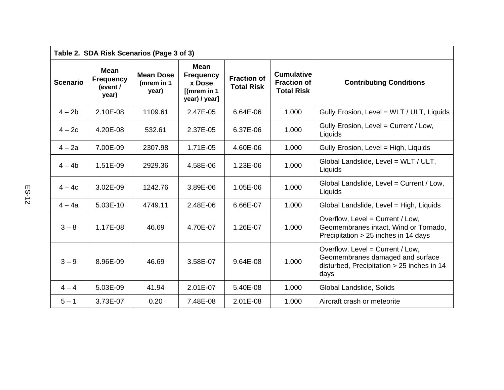| Table 2. SDA Risk Scenarios (Page 3 of 3) |                                                      |                                         |                                                                              |                                         |                                                              |                                                                                                                            |
|-------------------------------------------|------------------------------------------------------|-----------------------------------------|------------------------------------------------------------------------------|-----------------------------------------|--------------------------------------------------------------|----------------------------------------------------------------------------------------------------------------------------|
| <b>Scenario</b>                           | <b>Mean</b><br><b>Frequency</b><br>(event /<br>year) | <b>Mean Dose</b><br>(mrem in 1<br>year) | <b>Mean</b><br><b>Frequency</b><br>x Dose<br>$[$ (mrem in 1<br>year) / year] | <b>Fraction of</b><br><b>Total Risk</b> | <b>Cumulative</b><br><b>Fraction of</b><br><b>Total Risk</b> | <b>Contributing Conditions</b>                                                                                             |
| $4 - 2b$                                  | 2.10E-08                                             | 1109.61                                 | 2.47E-05                                                                     | 6.64E-06                                | 1.000                                                        | Gully Erosion, Level = WLT / ULT, Liquids                                                                                  |
| $4-2c$                                    | 4.20E-08                                             | 532.61                                  | 2.37E-05                                                                     | 6.37E-06                                | 1.000                                                        | Gully Erosion, Level = Current / Low,<br>Liquids                                                                           |
| $4 - 2a$                                  | 7.00E-09                                             | 2307.98                                 | 1.71E-05                                                                     | 4.60E-06                                | 1.000                                                        | Gully Erosion, Level = High, Liquids                                                                                       |
| $4 - 4b$                                  | 1.51E-09                                             | 2929.36                                 | 4.58E-06                                                                     | 1.23E-06                                | 1.000                                                        | Global Landslide, Level = WLT / ULT,<br>Liquids                                                                            |
| $4-4c$                                    | 3.02E-09                                             | 1242.76                                 | 3.89E-06                                                                     | 1.05E-06                                | 1.000                                                        | Global Landslide, Level = Current / Low,<br>Liquids                                                                        |
| $4 - 4a$                                  | 5.03E-10                                             | 4749.11                                 | 2.48E-06                                                                     | 6.66E-07                                | 1.000                                                        | Global Landslide, Level = High, Liquids                                                                                    |
| $3 - 8$                                   | 1.17E-08                                             | 46.69                                   | 4.70E-07                                                                     | 1.26E-07                                | 1.000                                                        | Overflow, Level = Current / Low,<br>Geomembranes intact, Wind or Tornado,<br>Precipitation > 25 inches in 14 days          |
| $3 - 9$                                   | 8.96E-09                                             | 46.69                                   | 3.58E-07                                                                     | 9.64E-08                                | 1.000                                                        | Overflow, Level = Current / Low,<br>Geomembranes damaged and surface<br>disturbed, Precipitation > 25 inches in 14<br>days |
| $4 - 4$                                   | 5.03E-09                                             | 41.94                                   | 2.01E-07                                                                     | 5.40E-08                                | 1.000                                                        | Global Landslide, Solids                                                                                                   |
| $5 - 1$                                   | 3.73E-07                                             | 0.20                                    | 7.48E-08                                                                     | 2.01E-08                                | 1.000                                                        | Aircraft crash or meteorite                                                                                                |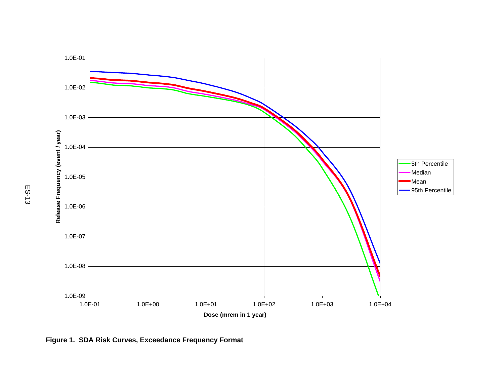

**Figure 1. SDA Risk Curves, Exceedance Frequency Format**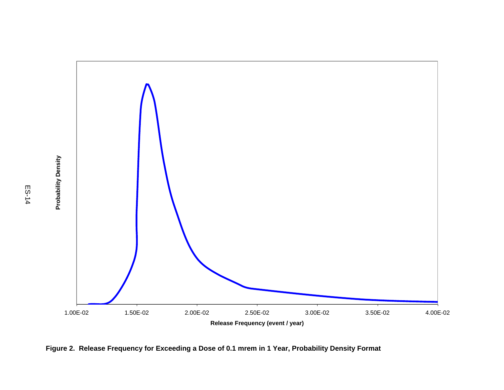

**Figure 2. Release Frequency for Exceeding a Dose of 0.1 mrem in 1 Year, Probability Density Format**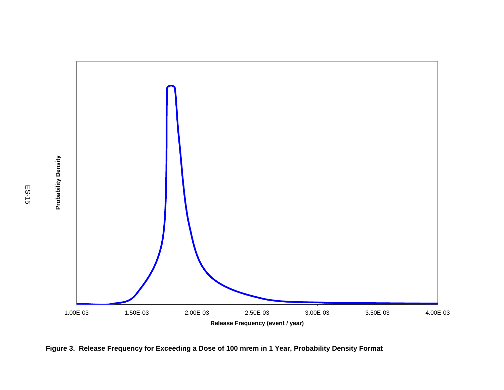

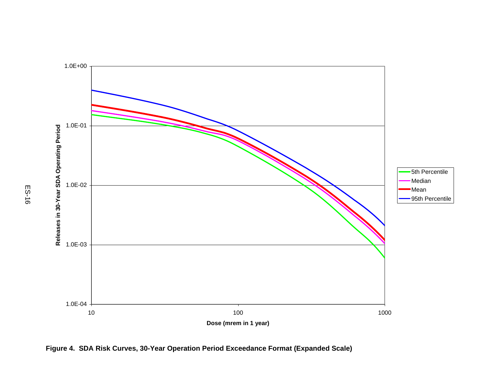

**Figure 4. SDA Risk Curves, 30-Year Operation Period Exceedance Format (Expanded Scale)**